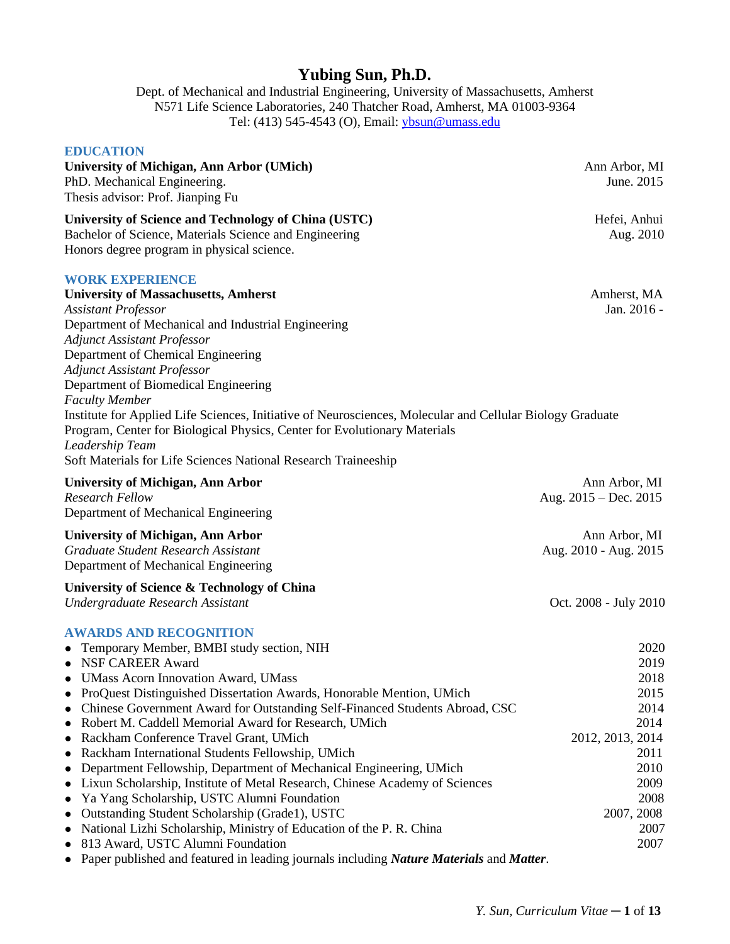# **Yubing Sun, Ph.D.**

Dept. of Mechanical and Industrial Engineering, University of Massachusetts, Amherst N571 Life Science Laboratories, 240 Thatcher Road, Amherst, MA 01003-9364 Tel: (413) 545-4543 (O), Email: [ybsun@umass.edu](mailto:ybsun@umass.edu)

# **EDUCATION University of Michigan, Ann Arbor (UMich)** Ann Arbor, MI PhD. Mechanical Engineering. June. 2015 Thesis advisor: Prof. Jianping Fu **University of Science and Technology of China (USTC)** Hefei, Anhui Bachelor of Science, Materials Science and Engineering Aug. 2010 Honors degree program in physical science. **WORK EXPERIENCE University of Massachusetts, Amherst** Amherst, MA *Assistant Professor* Jan. 2016 - Department of Mechanical and Industrial Engineering *Adjunct Assistant Professor* Department of Chemical Engineering *Adjunct Assistant Professor* Department of Biomedical Engineering *Faculty Member* Institute for Applied Life Sciences, Initiative of Neurosciences, Molecular and Cellular Biology Graduate Program, Center for Biological Physics, Center for Evolutionary Materials *Leadership Team* Soft Materials for Life Sciences National Research Traineeship University of Michigan, Ann Arbor *Ann Arbor**Ann Arbor**Ann Arbor, MI**Ann Arbor, MI**Ann Arbor***,** *MI Research Fellow* Aug. 2015 – Dec. 2015 Department of Mechanical Engineering **University of Michigan, Ann Arbor** Ann Arbor, MI *Graduate Student Research Assistant* Aug. 2010 - Aug. 2015 Department of Mechanical Engineering **University of Science & Technology of China** *Undergraduate Research Assistant* Oct. 2008 - July 2010 **AWARDS AND RECOGNITION**  • Temporary Member, BMBI study section, NIH 2020 ● NSF CAREER Award 2019 ⚫ UMass Acorn Innovation Award, UMass 2018 ⚫ ProQuest Distinguished Dissertation Awards, Honorable Mention, UMich 2015 • Chinese Government Award for Outstanding Self-Financed Students Abroad, CSC 2014 • Robert M. Caddell Memorial Award for Research, UMich 2014 ● Rackham Conference Travel Grant, UMich 2012, 2013, 2014 • Rackham International Students Fellowship, UMich 2011 • Department Fellowship, Department of Mechanical Engineering, UMich 2010 ⚫ Lixun Scholarship, Institute of Metal Research, Chinese Academy of Sciences 2009 ● Ya Yang Scholarship, USTC Alumni Foundation 2008 ● Outstanding Student Scholarship (Grade1), USTC 2007, 2008 • National Lizhi Scholarship, Ministry of Education of the P. R. China 2007 ● 813 Award, USTC Alumni Foundation 2007

⚫ Paper published and featured in leading journals including *Nature Materials* and *Matter*.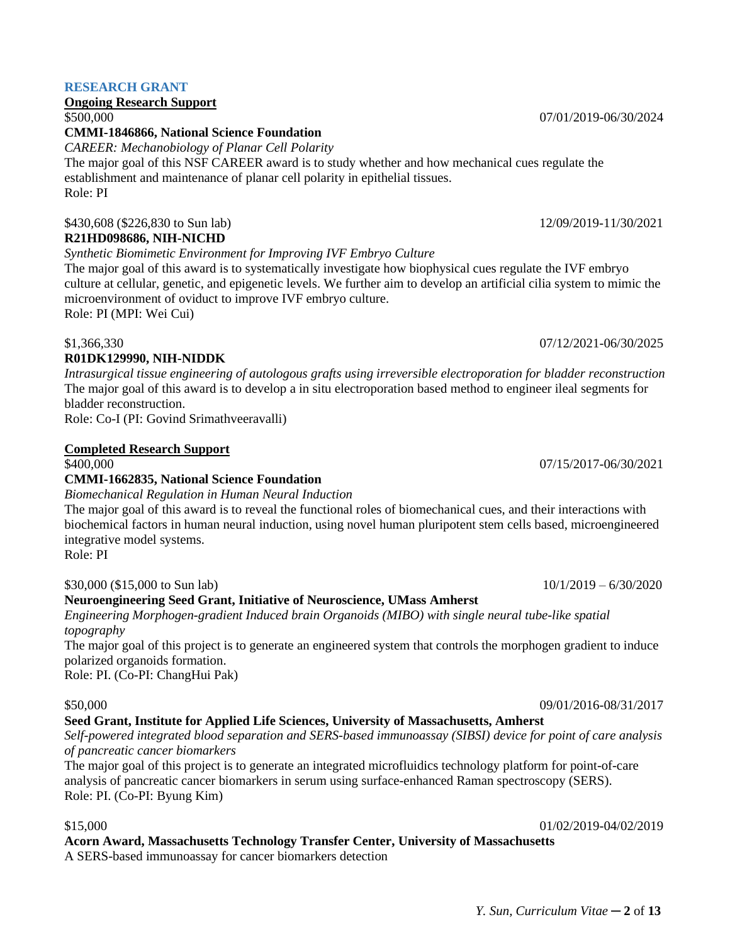# **RESEARCH GRANT**

# **Ongoing Research Support**

# **CMMI-1846866, National Science Foundation**

*CAREER: Mechanobiology of Planar Cell Polarity*

The major goal of this NSF CAREER award is to study whether and how mechanical cues regulate the establishment and maintenance of planar cell polarity in epithelial tissues. Role: PI

# \$430,608 (\$226,830 to Sun lab) 12/09/2019-11/30/2021

# **R21HD098686, NIH-NICHD**

*Synthetic Biomimetic Environment for Improving IVF Embryo Culture*

The major goal of this award is to systematically investigate how biophysical cues regulate the IVF embryo culture at cellular, genetic, and epigenetic levels. We further aim to develop an artificial cilia system to mimic the microenvironment of oviduct to improve IVF embryo culture.

Role: PI (MPI: Wei Cui)

# \$1,366,330 07/12/2021-06/30/2025

# **R01DK129990, NIH-NIDDK**

*Intrasurgical tissue engineering of autologous grafts using irreversible electroporation for bladder reconstruction* The major goal of this award is to develop a in situ electroporation based method to engineer ileal segments for bladder reconstruction.

Role: Co-I (PI: Govind Srimathveeravalli)

# **Completed Research Support**

# **CMMI-1662835, National Science Foundation**

*Biomechanical Regulation in Human Neural Induction*  The major goal of this award is to reveal the functional roles of biomechanical cues, and their interactions with biochemical factors in human neural induction, using novel human pluripotent stem cells based, microengineered integrative model systems.

Role: PI

# $$30,000 ($15,000 to Sun lab)$   $10/1/2019 - 6/30/2020$

# **Neuroengineering Seed Grant, Initiative of Neuroscience, UMass Amherst**

*Engineering Morphogen-gradient Induced brain Organoids (MIBO) with single neural tube-like spatial topography*

The major goal of this project is to generate an engineered system that controls the morphogen gradient to induce polarized organoids formation.

Role: PI. (Co-PI: ChangHui Pak)

# \$50,000 09/01/2016-08/31/2017

# **Seed Grant, Institute for Applied Life Sciences, University of Massachusetts, Amherst**

*Self-powered integrated blood separation and SERS-based immunoassay (SIBSI) device for point of care analysis of pancreatic cancer biomarkers*

The major goal of this project is to generate an integrated microfluidics technology platform for point-of-care analysis of pancreatic cancer biomarkers in serum using surface-enhanced Raman spectroscopy (SERS). Role: PI. (Co-PI: Byung Kim)

# **Acorn Award, Massachusetts Technology Transfer Center, University of Massachusetts**

A SERS-based immunoassay for cancer biomarkers detection

\$500,000 07/01/2019-06/30/2024

\$400,000 07/15/2017-06/30/2021

\$15,000 01/02/2019-04/02/2019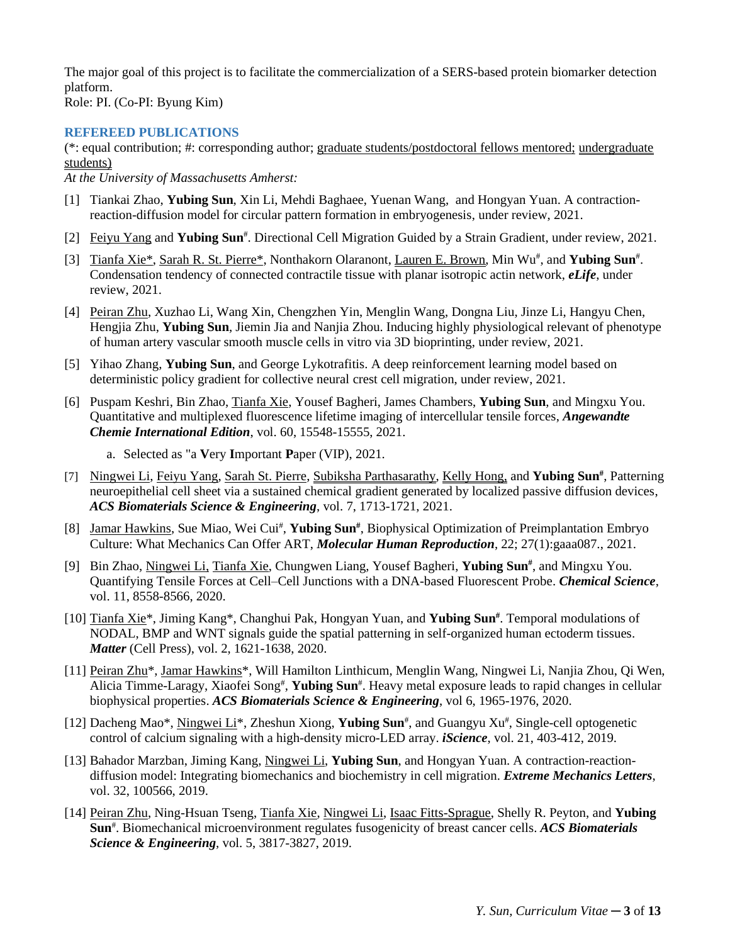The major goal of this project is to facilitate the commercialization of a SERS-based protein biomarker detection platform.

Role: PI. (Co-PI: Byung Kim)

#### **REFEREED PUBLICATIONS**

(\*: equal contribution; #: corresponding author; graduate students/postdoctoral fellows mentored; undergraduate students)

*At the University of Massachusetts Amherst:*

- [1] Tiankai Zhao, **Yubing Sun**, Xin Li, Mehdi Baghaee, Yuenan Wang, and Hongyan Yuan. A contractionreaction-diffusion model for circular pattern formation in embryogenesis, under review, 2021.
- [2] Feiyu Yang and Yubing Sun<sup>#</sup>. Directional Cell Migration Guided by a Strain Gradient, under review, 2021.
- [3] Tianfa Xie<sup>\*</sup>, Sarah R. St. Pierre<sup>\*</sup>, Nonthakorn Olaranont, Lauren E. Brown, Min Wu<sup>#</sup>, and **Yubing Sun**<sup>#</sup>. Condensation tendency of connected contractile tissue with planar isotropic actin network, *eLife*, under review, 2021.
- [4] Peiran Zhu, Xuzhao Li, Wang Xin, Chengzhen Yin, Menglin Wang, Dongna Liu, Jinze Li, Hangyu Chen, Hengjia Zhu, **Yubing Sun**, Jiemin Jia and Nanjia Zhou. Inducing highly physiological relevant of phenotype of human artery vascular smooth muscle cells in vitro via 3D bioprinting, under review, 2021.
- [5] Yihao Zhang, **Yubing Sun**, and George Lykotrafitis. A deep reinforcement learning model based on deterministic policy gradient for collective neural crest cell migration, under review, 2021.
- [6] Puspam Keshri, Bin Zhao, Tianfa Xie, Yousef Bagheri, James Chambers, **Yubing Sun**, and Mingxu You. Quantitative and multiplexed fluorescence lifetime imaging of intercellular tensile forces, *Angewandte Chemie International Edition*, vol. 60, 15548-15555, 2021.
	- a. Selected as "a **V**ery **I**mportant **P**aper (VIP), 2021.
- [7] Ningwei Li, Feiyu Yang, Sarah St. Pierre, Subiksha Parthasarathy, Kelly Hong, and **Yubing Sun#** , Patterning neuroepithelial cell sheet via a sustained chemical gradient generated by localized passive diffusion devices, *ACS Biomaterials Science & Engineering*, vol. 7, 1713-1721, 2021.
- [8] Jamar Hawkins, Sue Miao, Wei Cui<sup>#</sup>, Yubing Sun<sup>#</sup>, Biophysical Optimization of Preimplantation Embryo Culture: What Mechanics Can Offer ART, *Molecular Human Reproduction*, 22; 27(1):gaaa087., 2021.
- [9] Bin Zhao, Ningwei Li, Tianfa Xie, Chungwen Liang, Yousef Bagheri, **Yubing Sun#** , and Mingxu You. Quantifying Tensile Forces at Cell–Cell Junctions with a DNA-based Fluorescent Probe. *Chemical Science*, vol. 11, 8558-8566, 2020.
- [10] Tianfa Xie\*, Jiming Kang\*, Changhui Pak, Hongyan Yuan, and **Yubing Sun #** . Temporal modulations of NODAL, BMP and WNT signals guide the spatial patterning in self-organized human ectoderm tissues. *Matter* (Cell Press), vol. 2, 1621-1638, 2020.
- [11] Peiran Zhu\*, Jamar Hawkins\*, Will Hamilton Linthicum, Menglin Wang, Ningwei Li, Nanjia Zhou, Qi Wen, Alicia Timme-Laragy, Xiaofei Song<sup>#</sup>, Yubing Sun<sup>#</sup>. Heavy metal exposure leads to rapid changes in cellular biophysical properties. *ACS Biomaterials Science & Engineering*, vol 6, 1965-1976, 2020.
- [12] Dacheng Mao\*, *Ningwei Li\**, Zheshun Xiong, Yubing Sun<sup>#</sup>, and Guangyu Xu<sup>#</sup>, Single-cell optogenetic control of calcium signaling with a high-density micro-LED array. *iScience*, vol. 21, 403-412, 2019.
- [13] Bahador Marzban, Jiming Kang, Ningwei Li, **Yubing Sun**, and Hongyan Yuan. A contraction-reactiondiffusion model: Integrating biomechanics and biochemistry in cell migration. *Extreme Mechanics Letters*, vol. 32, 100566, 2019.
- [14] Peiran Zhu, Ning-Hsuan Tseng, Tianfa Xie, Ningwei Li, Isaac Fitts-Sprague, Shelly R. Peyton, and **Yubing Sun**# . Biomechanical microenvironment regulates fusogenicity of breast cancer cells. *ACS Biomaterials Science & Engineering*, vol. 5, 3817-3827, 2019.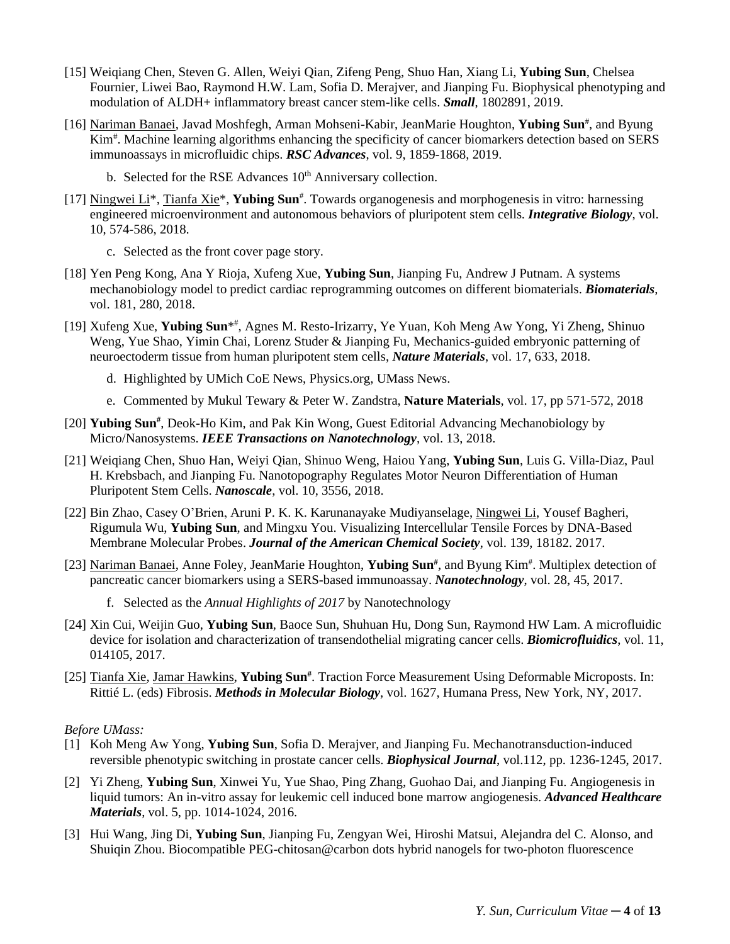- [15] Weiqiang Chen, Steven G. Allen, Weiyi Qian, Zifeng Peng, Shuo Han, Xiang Li, **Yubing Sun**, Chelsea Fournier, Liwei Bao, Raymond H.W. Lam, Sofia D. Merajver, and Jianping Fu. Biophysical phenotyping and modulation of ALDH+ inflammatory breast cancer stem-like cells. *Small*, 1802891, 2019.
- [16] Nariman Banaei, Javad Moshfegh, Arman Mohseni-Kabir, JeanMarie Houghton, Yubing Sun<sup>#</sup>, and Byung Kim# . Machine learning algorithms enhancing the specificity of cancer biomarkers detection based on SERS immunoassays in microfluidic chips. *RSC Advances*, vol. 9, 1859-1868, 2019.
	- b. Selected for the RSE Advances 10<sup>th</sup> Anniversary collection.
- [17] Ningwei Li<sup>\*</sup>, Tianfa Xie<sup>\*</sup>, Yubing Sun<sup>#</sup>. Towards organogenesis and morphogenesis in vitro: harnessing engineered microenvironment and autonomous behaviors of pluripotent stem cells. *Integrative Biology*, vol. 10, 574-586, 2018.
	- c. Selected as the front cover page story.
- [18] Yen Peng Kong, Ana Y Rioja, Xufeng Xue, **Yubing Sun**, Jianping Fu, Andrew J Putnam. A systems mechanobiology model to predict cardiac reprogramming outcomes on different biomaterials. *Biomaterials*, vol. 181, 280, 2018.
- [19] Xufeng Xue, Yubing Sun<sup>\*#</sup>, Agnes M. Resto-Irizarry, Ye Yuan, Koh Meng Aw Yong, Yi Zheng, Shinuo Weng, Yue Shao, Yimin Chai, Lorenz Studer & Jianping Fu, Mechanics-guided embryonic patterning of neuroectoderm tissue from human pluripotent stem cells, *Nature Materials*, vol. 17, 633, 2018.
	- d. Highlighted by UMich CoE News, Physics.org, UMass News.
	- e. Commented by Mukul Tewary & Peter W. Zandstra, **Nature Materials**, vol. 17, pp 571-572, 2018
- [20] Yubing Sun<sup>#</sup>, Deok-Ho Kim, and Pak Kin Wong, Guest Editorial Advancing Mechanobiology by Micro/Nanosystems. *IEEE Transactions on Nanotechnology*, vol. 13, 2018.
- [21] Weiqiang Chen, Shuo Han, Weiyi Qian, Shinuo Weng, Haiou Yang, **Yubing Sun**, Luis G. Villa-Diaz, Paul H. Krebsbach, and Jianping Fu. Nanotopography Regulates Motor Neuron Differentiation of Human Pluripotent Stem Cells. *Nanoscale*, vol. 10, 3556, 2018.
- [22] Bin Zhao, Casey O'Brien, Aruni P. K. K. Karunanayake Mudiyanselage, Ningwei Li, Yousef Bagheri, Rigumula Wu, **Yubing Sun**, and Mingxu You. Visualizing Intercellular Tensile Forces by DNA-Based Membrane Molecular Probes. *Journal of the American Chemical Society*, vol. 139, 18182. 2017.
- [23] Nariman Banaei, Anne Foley, JeanMarie Houghton, Yubing Sun<sup>#</sup>, and Byung Kim<sup>#</sup>. Multiplex detection of pancreatic cancer biomarkers using a SERS-based immunoassay. *Nanotechnology*, vol. 28, 45, 2017.
	- f. Selected as the *Annual Highlights of 2017* by Nanotechnology
- [24] Xin Cui, Weijin Guo, **Yubing Sun**, Baoce Sun, Shuhuan Hu, Dong Sun, Raymond HW Lam. A microfluidic device for isolation and characterization of transendothelial migrating cancer cells. *Biomicrofluidics*, vol. 11, 014105, 2017.
- [25] Tianfa Xie, Jamar Hawkins, Yubing Sun<sup>#</sup>. Traction Force Measurement Using Deformable Microposts. In: Rittié L. (eds) Fibrosis. *Methods in Molecular Biology*, vol. 1627, Humana Press, New York, NY, 2017.

#### *Before UMass:*

- [1] Koh Meng Aw Yong, **Yubing Sun**, Sofia D. Merajver, and Jianping Fu. Mechanotransduction-induced reversible phenotypic switching in prostate cancer cells. *Biophysical Journal*, vol.112, pp. 1236-1245, 2017.
- [2] Yi Zheng, **Yubing Sun**, Xinwei Yu, Yue Shao, Ping Zhang, Guohao Dai, and Jianping Fu. Angiogenesis in liquid tumors: An in-vitro assay for leukemic cell induced bone marrow angiogenesis. *Advanced Healthcare Materials*, vol. 5, pp. 1014-1024, 2016.
- [3] Hui Wang, Jing Di, **Yubing Sun**, Jianping Fu, Zengyan Wei, Hiroshi Matsui, Alejandra del C. Alonso, and Shuiqin Zhou. Biocompatible PEG-chitosan@carbon dots hybrid nanogels for two-photon fluorescence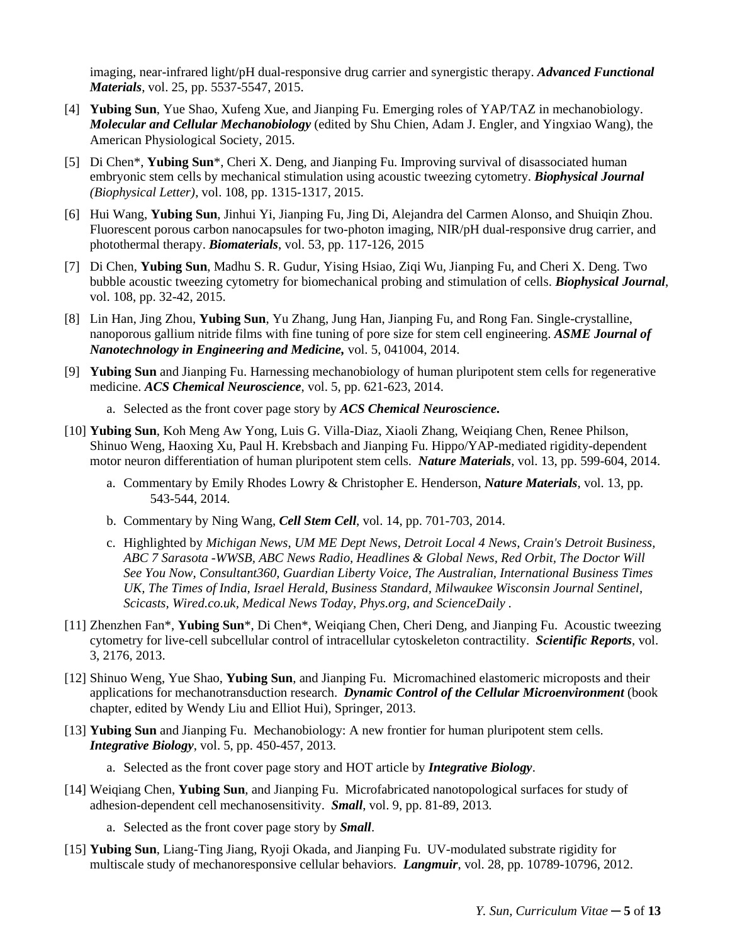imaging, near-infrared light/pH dual-responsive drug carrier and synergistic therapy. *Advanced Functional Materials*, vol. 25, pp. 5537-5547, 2015.

- [4] **Yubing Sun**, Yue Shao, Xufeng Xue, and Jianping Fu. Emerging roles of YAP/TAZ in mechanobiology. *Molecular and Cellular Mechanobiology* (edited by Shu Chien, Adam J. Engler, and Yingxiao Wang), the American Physiological Society, 2015.
- [5] Di Chen\*, **Yubing Sun**\*, Cheri X. Deng, and Jianping Fu. Improving survival of disassociated human embryonic stem cells by mechanical stimulation using acoustic tweezing cytometry. *Biophysical Journal (Biophysical Letter)*, vol. 108, pp. 1315-1317, 2015.
- [6] Hui Wang, **Yubing Sun**, Jinhui Yi, Jianping Fu, Jing Di, Alejandra del Carmen Alonso, and Shuiqin Zhou. Fluorescent porous carbon nanocapsules for two-photon imaging, NIR/pH dual-responsive drug carrier, and photothermal therapy. *Biomaterials*, vol. 53, pp. 117-126, 2015
- [7] Di Chen, **Yubing Sun**, Madhu S. R. Gudur, Yising Hsiao, Ziqi Wu, Jianping Fu, and Cheri X. Deng. Two bubble acoustic tweezing cytometry for biomechanical probing and stimulation of cells. *Biophysical Journal*, vol. 108, pp. 32-42, 2015.
- [8] Lin Han, Jing Zhou, **Yubing Sun**, Yu Zhang, Jung Han, Jianping Fu, and Rong Fan. Single-crystalline, nanoporous gallium nitride films with fine tuning of pore size for stem cell engineering. *ASME Journal of Nanotechnology in Engineering and Medicine,* vol. 5, 041004, 2014.
- [9] **Yubing Sun** and Jianping Fu. Harnessing mechanobiology of human pluripotent stem cells for regenerative medicine. *ACS Chemical Neuroscience*, vol. 5, pp. 621-623, 2014.
	- a. Selected as the front cover page story by *ACS Chemical Neuroscience***.**
- [10] **Yubing Sun**, Koh Meng Aw Yong, Luis G. Villa-Diaz, Xiaoli Zhang, Weiqiang Chen, Renee Philson, Shinuo Weng, Haoxing Xu, Paul H. Krebsbach and Jianping Fu. Hippo/YAP-mediated rigidity-dependent motor neuron differentiation of human pluripotent stem cells. *Nature Materials*, vol. 13, pp. 599-604, 2014.
	- a. Commentary by Emily Rhodes Lowry & Christopher E. Henderson, *Nature Materials*, vol. 13, pp. 543-544, 2014.
	- b. Commentary by Ning Wang, *Cell Stem Cell*, vol. 14, pp. 701-703, 2014.
	- c. Highlighted by *Michigan News*, *[UM ME Dept News](https://me-web2.engin.umich.edu/pub/news/newsitem?newsItemId=596)*, *Detroit Local 4 News, Crain's Detroit Business, ABC 7 Sarasota -WWSB, ABC News Radio, Headlines & Global News, Red Orbit, The Doctor Will See You Now, Consultant360, Guardian Liberty Voice, The Australian, International Business Times UK, The Times of India, Israel Herald, Business Standard, Milwaukee Wisconsin Journal Sentinel, Scicasts, Wired.co.uk, Medical News Today, Phys.org, and ScienceDaily .*
- [11] Zhenzhen Fan\*, **Yubing Sun**\*, Di Chen\*, Weiqiang Chen, Cheri Deng, and Jianping Fu. Acoustic tweezing cytometry for live-cell subcellular control of intracellular cytoskeleton contractility. *Scientific Reports*, vol. 3, 2176, 2013.
- [12] Shinuo Weng, Yue Shao, **Yubing Sun**, and Jianping Fu. Micromachined elastomeric microposts and their applications for mechanotransduction research. *Dynamic Control of the Cellular Microenvironment* (book chapter, edited by Wendy Liu and Elliot Hui), Springer, 2013.
- [13] **Yubing Sun** and Jianping Fu. Mechanobiology: A new frontier for human pluripotent stem cells. *Integrative Biology*, vol. 5, pp. 450-457, 2013.
	- a. Selected as the front cover page story and HOT article by *Integrative Biology*.
- [14] Weiqiang Chen, **Yubing Sun**, and Jianping Fu. Microfabricated nanotopological surfaces for study of adhesion-dependent cell mechanosensitivity. *Small*, vol. 9, pp. 81-89, 2013.
	- a. Selected as the front cover page story by *Small*.
- [15] **Yubing Sun**, Liang-Ting Jiang, Ryoji Okada, and Jianping Fu. UV-modulated substrate rigidity for multiscale study of mechanoresponsive cellular behaviors. *Langmuir*, vol. 28, pp. 10789-10796, 2012.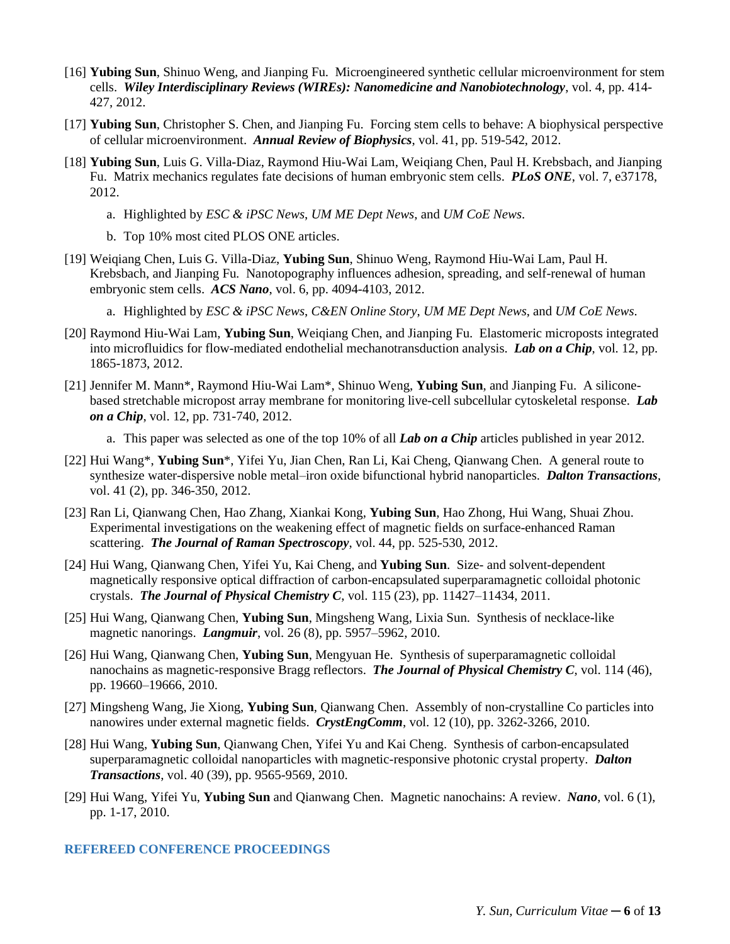- [16] **Yubing Sun**, Shinuo Weng, and Jianping Fu. Microengineered synthetic cellular microenvironment for stem cells. *Wiley Interdisciplinary Reviews (WIREs): Nanomedicine and Nanobiotechnology*, vol. 4, pp. 414- 427, 2012.
- [17] **Yubing Sun**, Christopher S. Chen, and Jianping Fu. Forcing stem cells to behave: A biophysical perspective of cellular microenvironment. *Annual Review of Biophysics*, vol. 41, pp. 519-542, 2012.
- [18] **Yubing Sun**, Luis G. Villa-Diaz, Raymond Hiu-Wai Lam, Weiqiang Chen, Paul H. Krebsbach, and Jianping Fu. Matrix mechanics regulates fate decisions of human embryonic stem cells. *PLoS ONE*, vol. 7, e37178, 2012.
	- a. Highlighted by *[ESC & iPSC News](http://www.connexoncreative.com/publications/archives/ESC720.aspx)*, *[UM ME Dept News](https://me-web2.engin.umich.edu/pub/news/newsitem?newsItemId=596)*, and *[UM CoE](http://www.engin.umich.edu/newscenter/feature/directing-embryonic-stem-cells) News*.
	- b. Top 10% most cited PLOS ONE articles.
- [19] Weiqiang Chen, Luis G. Villa-Diaz, **Yubing Sun**, Shinuo Weng, Raymond Hiu-Wai Lam, Paul H. Krebsbach, and Jianping Fu. Nanotopography influences adhesion, spreading, and self-renewal of human embryonic stem cells. *ACS Nano*, vol. 6, pp. 4094-4103, 2012.
	- a. Highlighted by *[ESC & iPSC News](http://app.en25.com/e/es.aspx?s=1832&e=35318&elq=6545ec57b6884b8d9d709ba44641c009)*, *[C&EN Online Story](http://cen.acs.org/articles/90/web/2012/04/Texture-Surroundings-Influences-Human-Embryonic.html)*, *[UM ME Dept News](https://me-web2.engin.umich.edu/pub/news/newsitem?newsItemId=596)*, and *UM [CoE News](http://www.engin.umich.edu/newscenter/feature/directing-embryonic-stem-cells)*.
- [20] Raymond Hiu-Wai Lam, **Yubing Sun**, Weiqiang Chen, and Jianping Fu. Elastomeric microposts integrated into microfluidics for flow-mediated endothelial mechanotransduction analysis. *Lab on a Chip*, vol. 12, pp. 1865-1873, 2012.
- [21] Jennifer M. Mann\*, Raymond Hiu-Wai Lam\*, Shinuo Weng, **Yubing Sun**, and Jianping Fu. A siliconebased stretchable micropost array membrane for monitoring live-cell subcellular cytoskeletal response. *Lab on a Chip*, vol. 12, pp. 731-740, 2012.
	- a. This paper was selected as one of the top 10% of all *Lab on a Chip* articles published in year 2012.
- [22] Hui Wang\*, **Yubing Sun**\*, Yifei Yu, Jian Chen, Ran Li, Kai Cheng, Qianwang Chen. A general route to synthesize water-dispersive noble metal–iron oxide bifunctional hybrid nanoparticles. *Dalton Transactions*, vol. 41 (2), pp. 346-350, 2012.
- [23] Ran Li, Qianwang Chen, Hao Zhang, Xiankai Kong, **Yubing Sun**, Hao Zhong, Hui Wang, Shuai Zhou. Experimental investigations on the weakening effect of magnetic fields on surface-enhanced Raman scattering. *The Journal of Raman Spectroscopy*, vol. 44, pp. 525-530, 2012.
- [24] Hui Wang, Qianwang Chen, Yifei Yu, Kai Cheng, and **Yubing Sun**. Size- and solvent-dependent magnetically responsive optical diffraction of carbon-encapsulated superparamagnetic colloidal photonic crystals. *The Journal of Physical Chemistry C*, vol. 115 (23), pp. 11427–11434, 2011.
- [25] Hui Wang, Qianwang Chen, **Yubing Sun**, Mingsheng Wang, Lixia Sun. Synthesis of necklace-like magnetic nanorings. *Langmuir*, vol. 26 (8), pp. 5957–5962, 2010.
- [26] Hui Wang, Qianwang Chen, **Yubing Sun**, Mengyuan He. Synthesis of superparamagnetic colloidal nanochains as magnetic-responsive Bragg reflectors. *The Journal of Physical Chemistry C*, vol. 114 (46), pp. 19660–19666, 2010.
- [27] Mingsheng Wang, Jie Xiong, **Yubing Sun**, Qianwang Chen. Assembly of non-crystalline Co particles into nanowires under external magnetic fields. *CrystEngComm*, vol. 12 (10), pp. 3262-3266, 2010.
- [28] Hui Wang, **Yubing Sun**, Qianwang Chen, Yifei Yu and Kai Cheng. Synthesis of carbon-encapsulated superparamagnetic colloidal nanoparticles with magnetic-responsive photonic crystal property. *Dalton Transactions*, vol. 40 (39), pp. 9565-9569, 2010.
- [29] Hui Wang, Yifei Yu, **Yubing Sun** and Qianwang Chen. Magnetic nanochains: A review. *Nano*, vol. 6 (1), pp. 1-17, 2010.

#### **REFEREED CONFERENCE PROCEEDINGS**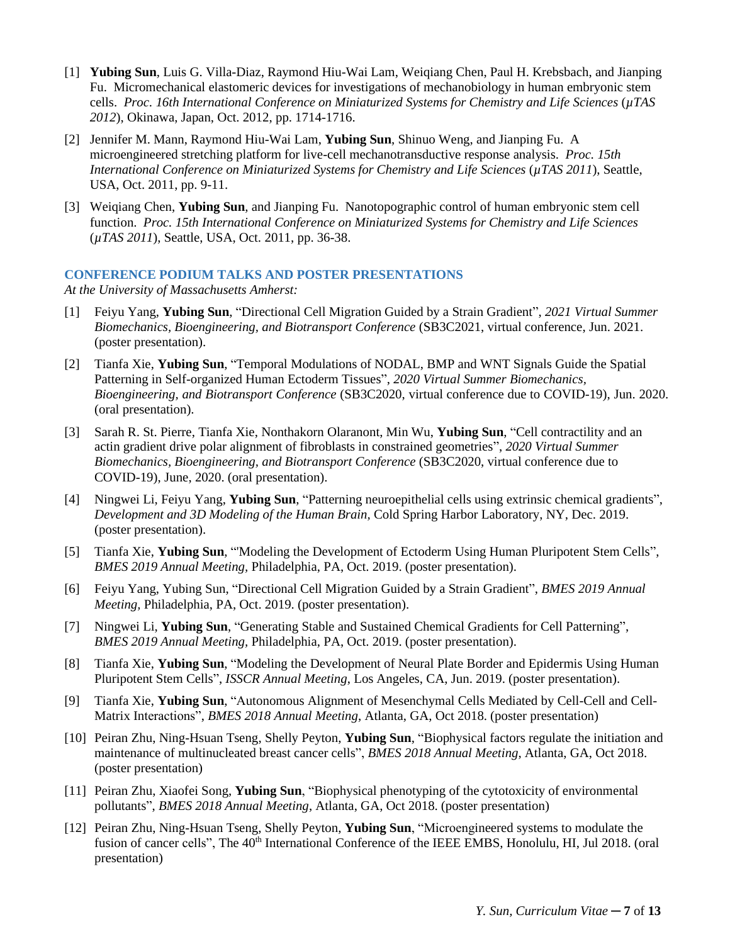- [1] **Yubing Sun**, Luis G. Villa-Diaz, Raymond Hiu-Wai Lam, Weiqiang Chen, Paul H. Krebsbach, and Jianping Fu. Micromechanical elastomeric devices for investigations of mechanobiology in human embryonic stem cells. *Proc. 16th International Conference on Miniaturized Systems for Chemistry and Life Sciences* (*µTAS 2012*), Okinawa, Japan, Oct. 2012, pp. 1714-1716.
- [2] Jennifer M. Mann, Raymond Hiu-Wai Lam, **Yubing Sun**, Shinuo Weng, and Jianping Fu. A microengineered stretching platform for live-cell mechanotransductive response analysis. *Proc. 15th International Conference on Miniaturized Systems for Chemistry and Life Sciences* (*µTAS 2011*), Seattle, USA, Oct. 2011, pp. 9-11.
- [3] Weiqiang Chen, **Yubing Sun**, and Jianping Fu. Nanotopographic control of human embryonic stem cell function. *Proc. 15th International Conference on Miniaturized Systems for Chemistry and Life Sciences* (*µTAS 2011*), Seattle, USA, Oct. 2011, pp. 36-38.

#### **CONFERENCE PODIUM TALKS AND POSTER PRESENTATIONS**

*At the University of Massachusetts Amherst:*

- [1] Feiyu Yang, **Yubing Sun**, "Directional Cell Migration Guided by a Strain Gradient", *2021 Virtual Summer Biomechanics, Bioengineering, and Biotransport Conference* (SB3C2021, virtual conference, Jun. 2021. (poster presentation).
- [2] Tianfa Xie, **Yubing Sun**, "Temporal Modulations of NODAL, BMP and WNT Signals Guide the Spatial Patterning in Self-organized Human Ectoderm Tissues", *2020 Virtual Summer Biomechanics, Bioengineering, and Biotransport Conference* (SB3C2020, virtual conference due to COVID-19), Jun. 2020. (oral presentation).
- [3] Sarah R. St. Pierre, Tianfa Xie, Nonthakorn Olaranont, Min Wu, **Yubing Sun**, "Cell contractility and an actin gradient drive polar alignment of fibroblasts in constrained geometries", *2020 Virtual Summer Biomechanics, Bioengineering, and Biotransport Conference* (SB3C2020, virtual conference due to COVID-19), June, 2020. (oral presentation).
- [4] Ningwei Li, Feiyu Yang, **Yubing Sun**, "Patterning neuroepithelial cells using extrinsic chemical gradients", *Development and 3D Modeling of the Human Brain,* Cold Spring Harbor Laboratory, NY, Dec. 2019. (poster presentation).
- [5] Tianfa Xie, **Yubing Sun**, "'Modeling the Development of Ectoderm Using Human Pluripotent Stem Cells", *BMES 2019 Annual Meeting,* Philadelphia, PA, Oct. 2019. (poster presentation).
- [6] Feiyu Yang, Yubing Sun, "Directional Cell Migration Guided by a Strain Gradient", *BMES 2019 Annual Meeting,* Philadelphia, PA, Oct. 2019. (poster presentation).
- [7] Ningwei Li, **Yubing Sun**, "Generating Stable and Sustained Chemical Gradients for Cell Patterning", *BMES 2019 Annual Meeting,* Philadelphia, PA, Oct. 2019. (poster presentation).
- [8] Tianfa Xie, **Yubing Sun**, "Modeling the Development of Neural Plate Border and Epidermis Using Human Pluripotent Stem Cells", *ISSCR Annual Meeting*, Los Angeles, CA, Jun. 2019. (poster presentation).
- [9] Tianfa Xie, **Yubing Sun**, "Autonomous Alignment of Mesenchymal Cells Mediated by Cell-Cell and Cell-Matrix Interactions", *BMES 2018 Annual Meeting*, Atlanta, GA, Oct 2018. (poster presentation)
- [10] Peiran Zhu, Ning-Hsuan Tseng, Shelly Peyton, **Yubing Sun**, "Biophysical factors regulate the initiation and maintenance of multinucleated breast cancer cells", *BMES 2018 Annual Meeting*, Atlanta, GA, Oct 2018. (poster presentation)
- [11] Peiran Zhu, Xiaofei Song, **Yubing Sun**, "Biophysical phenotyping of the cytotoxicity of environmental pollutants", *BMES 2018 Annual Meeting*, Atlanta, GA, Oct 2018. (poster presentation)
- [12] Peiran Zhu, Ning-Hsuan Tseng, Shelly Peyton, **Yubing Sun**, "Microengineered systems to modulate the fusion of cancer cells", The 40<sup>th</sup> International Conference of the IEEE EMBS, Honolulu, HI, Jul 2018. (oral presentation)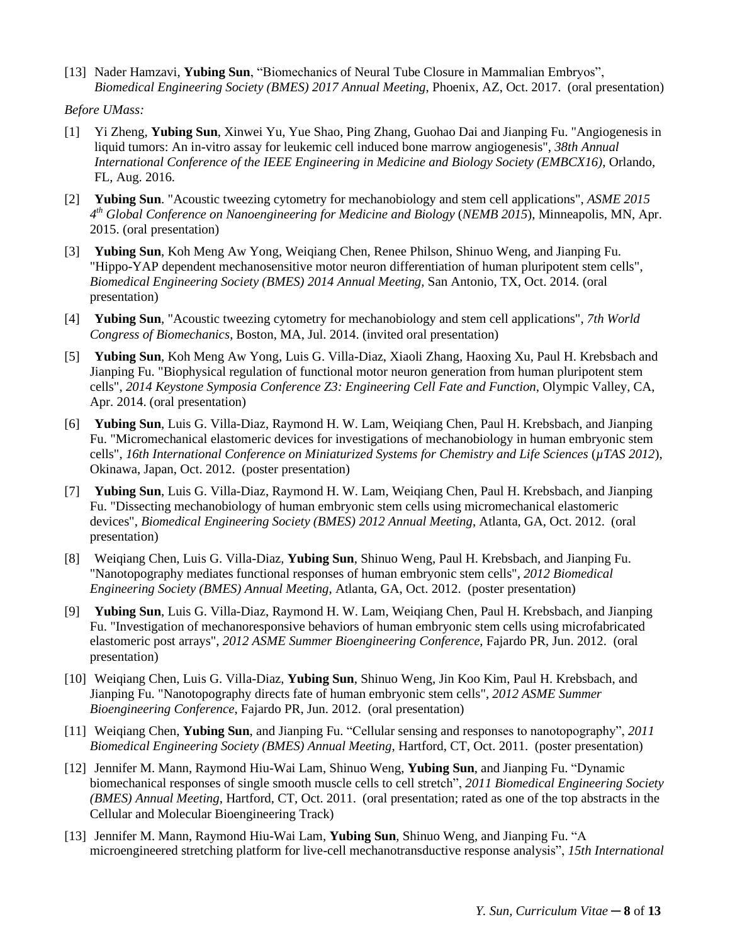[13] Nader Hamzavi, **Yubing Sun**, "Biomechanics of Neural Tube Closure in Mammalian Embryos", *Biomedical Engineering Society (BMES) 2017 Annual Meeting*, Phoenix, AZ, Oct. 2017. (oral presentation)

*Before UMass:*

- [1] Yi Zheng, **Yubing Sun**, Xinwei Yu, Yue Shao, Ping Zhang, Guohao Dai and Jianping Fu. "Angiogenesis in liquid tumors: An in-vitro assay for leukemic cell induced bone marrow angiogenesis", *38th Annual International Conference of the IEEE Engineering in Medicine and Biology Society (EMBCX16)*, Orlando, FL, Aug. 2016.
- [2] **Yubing Sun**. "Acoustic tweezing cytometry for mechanobiology and stem cell applications", *ASME 2015 4 th Global Conference on Nanoengineering for Medicine and Biology* (*NEMB 2015*), Minneapolis, MN, Apr. 2015. (oral presentation)
- [3] **Yubing Sun**, Koh Meng Aw Yong, Weiqiang Chen, Renee Philson, Shinuo Weng, and Jianping Fu. "Hippo-YAP dependent mechanosensitive motor neuron differentiation of human pluripotent stem cells", *Biomedical Engineering Society (BMES) 2014 Annual Meeting,* San Antonio, TX, Oct. 2014. (oral presentation)
- [4] **Yubing Sun**, "Acoustic tweezing cytometry for mechanobiology and stem cell applications", *7th World Congress of Biomechanics*, Boston, MA, Jul. 2014. (invited oral presentation)
- [5] **Yubing Sun**, Koh Meng Aw Yong, Luis G. Villa-Diaz, Xiaoli Zhang, Haoxing Xu, Paul H. Krebsbach and Jianping Fu. "Biophysical regulation of functional motor neuron generation from human pluripotent stem cells", *2014 Keystone Symposia Conference Z3: Engineering Cell Fate and Function*, Olympic Valley, CA, Apr. 2014. (oral presentation)
- [6] **Yubing Sun**, Luis G. Villa-Diaz, Raymond H. W. Lam, Weiqiang Chen, Paul H. Krebsbach, and Jianping Fu. "Micromechanical elastomeric devices for investigations of mechanobiology in human embryonic stem cells", *16th International Conference on Miniaturized Systems for Chemistry and Life Sciences* (*µTAS 2012*), Okinawa, Japan, Oct. 2012. (poster presentation)
- [7] **Yubing Sun**, Luis G. Villa-Diaz, Raymond H. W. Lam, Weiqiang Chen, Paul H. Krebsbach, and Jianping Fu. "Dissecting mechanobiology of human embryonic stem cells using micromechanical elastomeric devices", *Biomedical Engineering Society (BMES) 2012 Annual Meeting*, Atlanta, GA, Oct. 2012. (oral presentation)
- [8] Weiqiang Chen, Luis G. Villa-Diaz, **Yubing Sun**, Shinuo Weng, Paul H. Krebsbach, and Jianping Fu. "Nanotopography mediates functional responses of human embryonic stem cells", *2012 Biomedical Engineering Society (BMES) Annual Meeting*, Atlanta, GA, Oct. 2012. (poster presentation)
- [9] **Yubing Sun**, Luis G. Villa-Diaz, Raymond H. W. Lam, Weiqiang Chen, Paul H. Krebsbach, and Jianping Fu. "Investigation of mechanoresponsive behaviors of human embryonic stem cells using microfabricated elastomeric post arrays", *2012 ASME Summer Bioengineering Conference*, Fajardo PR, Jun. 2012. (oral presentation)
- [10] Weiqiang Chen, Luis G. Villa-Diaz, **Yubing Sun**, Shinuo Weng, Jin Koo Kim, Paul H. Krebsbach, and Jianping Fu. "Nanotopography directs fate of human embryonic stem cells", *2012 ASME Summer Bioengineering Conference*, Fajardo PR, Jun. 2012. (oral presentation)
- [11] Weiqiang Chen, **Yubing Sun**, and Jianping Fu. "Cellular sensing and responses to nanotopography", *2011 Biomedical Engineering Society (BMES) Annual Meeting*, Hartford, CT, Oct. 2011. (poster presentation)
- [12] Jennifer M. Mann, Raymond Hiu-Wai Lam, Shinuo Weng, **Yubing Sun**, and Jianping Fu. "Dynamic biomechanical responses of single smooth muscle cells to cell stretch", *2011 Biomedical Engineering Society (BMES) Annual Meeting*, Hartford, CT, Oct. 2011. (oral presentation; rated as one of the top abstracts in the Cellular and Molecular Bioengineering Track)
- [13] Jennifer M. Mann, Raymond Hiu-Wai Lam, **Yubing Sun**, Shinuo Weng, and Jianping Fu. "A microengineered stretching platform for live-cell mechanotransductive response analysis", *15th International*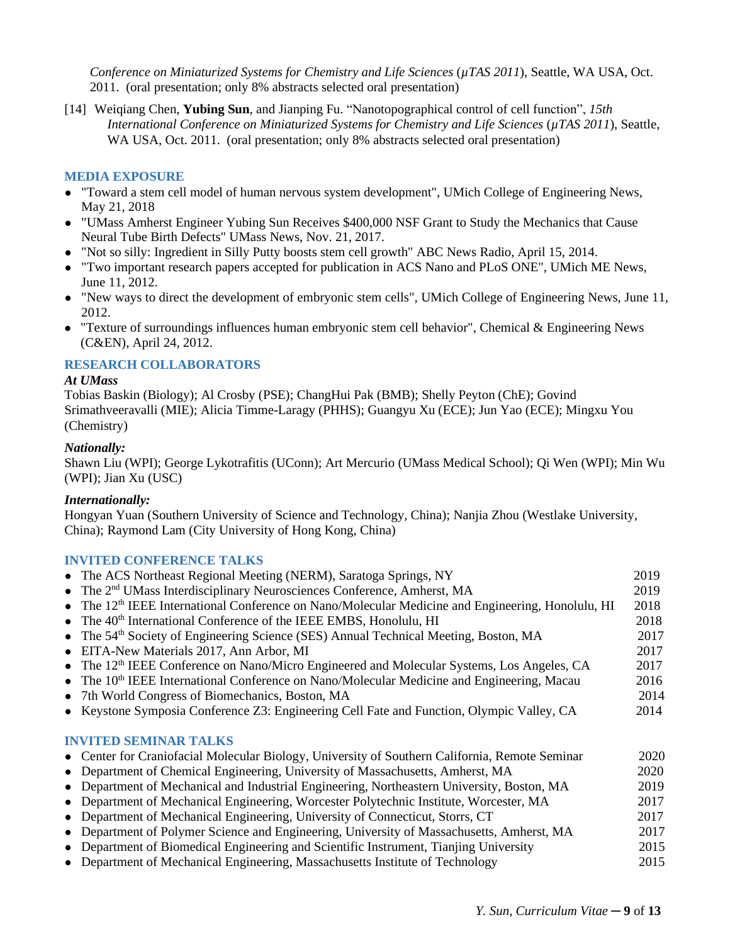*Conference on Miniaturized Systems for Chemistry and Life Sciences* (*µTAS 2011*), Seattle, WA USA, Oct. 2011. (oral presentation; only 8% abstracts selected oral presentation)

[14] Weiqiang Chen, **Yubing Sun**, and Jianping Fu. "Nanotopographical control of cell function", *15th International Conference on Miniaturized Systems for Chemistry and Life Sciences* (*µTAS 2011*), Seattle, WA USA, Oct. 2011. (oral presentation; only 8% abstracts selected oral presentation)

### **MEDIA EXPOSURE**

- ⚫ "Toward a stem cell model of human nervous system development", UMich College of Engineering News, May 21, 2018
- ⚫ "UMass Amherst Engineer Yubing Sun Receives \$400,000 NSF Grant to Study the Mechanics that Cause Neural Tube Birth Defects" UMass News, Nov. 21, 2017.
- ⚫ "Not so silly: Ingredient in Silly Putty boosts stem cell growth" ABC News Radio, April 15, 2014.
- ⚫ "Two important research papers accepted for publication in ACS Nano and PLoS ONE", UMich ME News, June 11, 2012.
- ⚫ "New ways to direct the development of embryonic stem cells", UMich College of Engineering News, June 11, 2012.
- ⚫ "Texture of surroundings influences human embryonic stem cell behavior", Chemical & Engineering News (C&EN), April 24, 2012.

#### **RESEARCH COLLABORATORS**

#### *At UMass*

Tobias Baskin (Biology); Al Crosby (PSE); ChangHui Pak (BMB); Shelly Peyton (ChE); Govind Srimathveeravalli (MIE); Alicia Timme-Laragy (PHHS); Guangyu Xu (ECE); Jun Yao (ECE); Mingxu You (Chemistry)

#### *Nationally:*

Shawn Liu (WPI); George Lykotrafitis (UConn); Art Mercurio (UMass Medical School); Qi Wen (WPI); Min Wu (WPI); Jian Xu (USC)

#### *Internationally:*

Hongyan Yuan (Southern University of Science and Technology, China); Nanjia Zhou (Westlake University, China); Raymond Lam (City University of Hong Kong, China)

#### **INVITED CONFERENCE TALKS**

| • The ACS Northeast Regional Meeting (NERM), Saratoga Springs, NY                                      | 2019 |
|--------------------------------------------------------------------------------------------------------|------|
| • The 2 <sup>nd</sup> UMass Interdisciplinary Neurosciences Conference, Amherst, MA                    | 2019 |
| • The $12th$ IEEE International Conference on Nano/Molecular Medicine and Engineering, Honolulu, HI    | 2018 |
| $\bullet$ The 40 <sup>th</sup> International Conference of the IEEE EMBS, Honolulu, HI                 | 2018 |
| • The $54th$ Society of Engineering Science (SES) Annual Technical Meeting, Boston, MA                 | 2017 |
| • EITA-New Materials 2017, Ann Arbor, MI                                                               | 2017 |
| • The 12 <sup>th</sup> IEEE Conference on Nano/Micro Engineered and Molecular Systems, Los Angeles, CA | 2017 |
| • The $10th$ IEEE International Conference on Nano/Molecular Medicine and Engineering, Macau           | 2016 |
| • 7th World Congress of Biomechanics, Boston, MA                                                       | 2014 |
| • Keystone Symposia Conference Z3: Engineering Cell Fate and Function, Olympic Valley, CA              | 2014 |
| <b>INVITED SEMINAR TALKS</b>                                                                           |      |
| • Center for Craniofacial Molecular Biology, University of Southern California, Remote Seminar         | 2020 |
| • Department of Chemical Engineering, University of Massachusetts, Amherst, MA                         | 2020 |
| • Department of Mechanical and Industrial Engineering, Northeastern University, Boston, MA             | 2019 |
| • Department of Mechanical Engineering, Worcester Polytechnic Institute, Worcester, MA                 | 2017 |
| • Department of Mechanical Engineering, University of Connecticut, Storrs, CT                          | 2017 |
| • Department of Polymer Science and Engineering, University of Massachusetts, Amherst, MA              | 2017 |
| • Department of Biomedical Engineering and Scientific Instrument, Tianjing University                  | 2015 |

⚫ Department of Mechanical Engineering, Massachusetts Institute of Technology 2015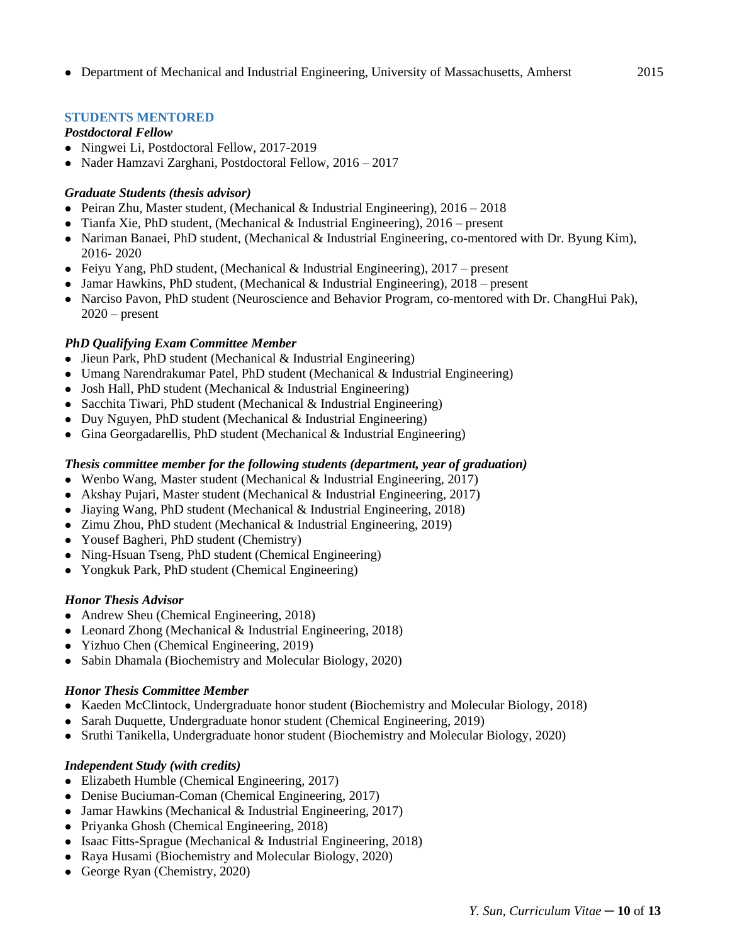# **STUDENTS MENTORED**

# *Postdoctoral Fellow*

- ⚫ Ningwei Li, Postdoctoral Fellow, 2017-2019
- ⚫ Nader Hamzavi Zarghani, Postdoctoral Fellow, 2016 2017

# *Graduate Students (thesis advisor)*

- Peiran Zhu, Master student, (Mechanical & Industrial Engineering),  $2016 2018$
- $\bullet$  Tianfa Xie, PhD student, (Mechanical & Industrial Engineering), 2016 present
- ⚫ Nariman Banaei, PhD student, (Mechanical & Industrial Engineering, co-mentored with Dr. Byung Kim), 2016- 2020
- ⚫ Feiyu Yang, PhD student, (Mechanical & Industrial Engineering), 2017 present
- ⚫ Jamar Hawkins, PhD student, (Mechanical & Industrial Engineering), 2018 present
- ⚫ Narciso Pavon, PhD student (Neuroscience and Behavior Program, co-mentored with Dr. ChangHui Pak),  $2020$  – present

# *PhD Qualifying Exam Committee Member*

- ⚫ Jieun Park, PhD student (Mechanical & Industrial Engineering)
- ⚫ Umang Narendrakumar Patel, PhD student (Mechanical & Industrial Engineering)
- ⚫ Josh Hall, PhD student (Mechanical & Industrial Engineering)
- Sacchita Tiwari, PhD student (Mechanical & Industrial Engineering)
- ⚫ Duy Nguyen, PhD student (Mechanical & Industrial Engineering)
- ⚫ Gina Georgadarellis, PhD student (Mechanical & Industrial Engineering)

# *Thesis committee member for the following students (department, year of graduation)*

- Wenbo Wang, Master student (Mechanical & Industrial Engineering, 2017)
- ⚫ Akshay Pujari, Master student (Mechanical & Industrial Engineering, 2017)
- ⚫ Jiaying Wang, PhD student (Mechanical & Industrial Engineering, 2018)
- ⚫ Zimu Zhou, PhD student (Mechanical & Industrial Engineering, 2019)
- ⚫ Yousef Bagheri, PhD student (Chemistry)
- ⚫ Ning-Hsuan Tseng, PhD student (Chemical Engineering)
- ⚫ Yongkuk Park, PhD student (Chemical Engineering)

# *Honor Thesis Advisor*

- ⚫ Andrew Sheu (Chemical Engineering, 2018)
- Leonard Zhong (Mechanical & Industrial Engineering, 2018)
- ⚫ Yizhuo Chen (Chemical Engineering, 2019)
- ⚫ Sabin Dhamala (Biochemistry and Molecular Biology, 2020)

# *Honor Thesis Committee Member*

- ⚫ Kaeden McClintock, Undergraduate honor student (Biochemistry and Molecular Biology, 2018)
- ⚫ Sarah Duquette, Undergraduate honor student (Chemical Engineering, 2019)
- ⚫ Sruthi Tanikella, Undergraduate honor student (Biochemistry and Molecular Biology, 2020)

# *Independent Study (with credits)*

- ⚫ Elizabeth Humble (Chemical Engineering, 2017)
- ⚫ Denise Buciuman-Coman (Chemical Engineering, 2017)
- ⚫ Jamar Hawkins (Mechanical & Industrial Engineering, 2017)
- ⚫ Priyanka Ghosh (Chemical Engineering, 2018)
- ⚫ Isaac Fitts-Sprague (Mechanical & Industrial Engineering, 2018)
- ⚫ Raya Husami (Biochemistry and Molecular Biology, 2020)
- ⚫ George Ryan (Chemistry, 2020)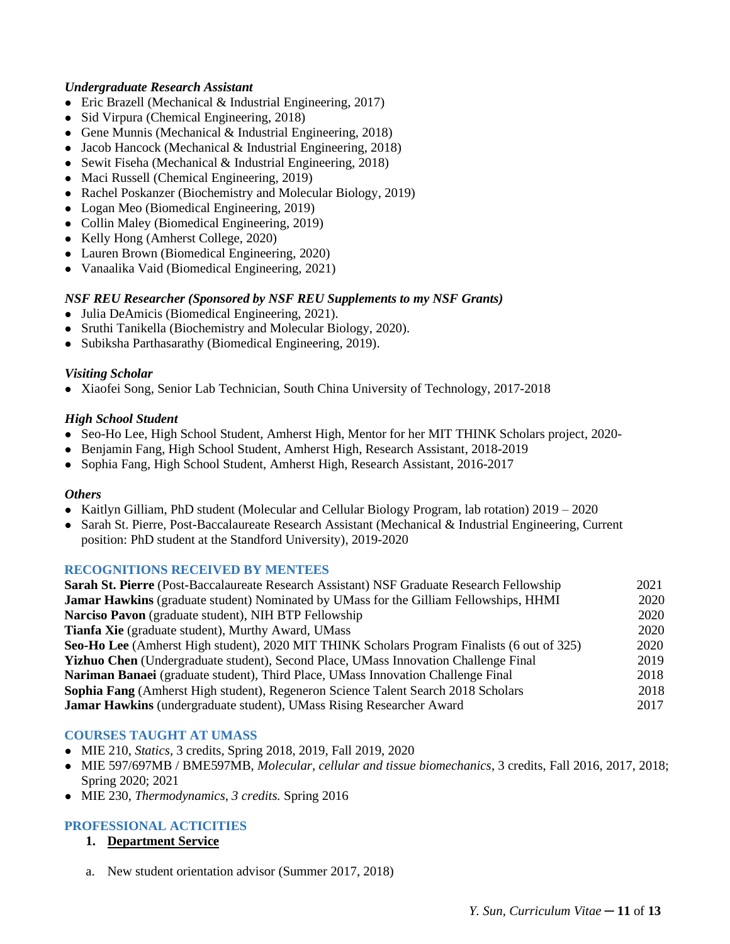#### *Undergraduate Research Assistant*

- Eric Brazell (Mechanical & Industrial Engineering, 2017)
- ⚫ Sid Virpura (Chemical Engineering, 2018)
- ⚫ Gene Munnis (Mechanical & Industrial Engineering, 2018)
- ⚫ Jacob Hancock (Mechanical & Industrial Engineering, 2018)
- Sewit Fiseha (Mechanical & Industrial Engineering, 2018)
- ⚫ Maci Russell (Chemical Engineering, 2019)
- ⚫ Rachel Poskanzer (Biochemistry and Molecular Biology, 2019)
- ⚫ Logan Meo (Biomedical Engineering, 2019)
- ⚫ Collin Maley (Biomedical Engineering, 2019)
- ⚫ Kelly Hong (Amherst College, 2020)
- ⚫ Lauren Brown (Biomedical Engineering, 2020)
- ⚫ Vanaalika Vaid (Biomedical Engineering, 2021)

### *NSF REU Researcher (Sponsored by NSF REU Supplements to my NSF Grants)*

- ⚫ Julia DeAmicis (Biomedical Engineering, 2021).
- ⚫ Sruthi Tanikella (Biochemistry and Molecular Biology, 2020).
- ⚫ Subiksha Parthasarathy (Biomedical Engineering, 2019).

#### *Visiting Scholar*

⚫ Xiaofei Song, Senior Lab Technician, South China University of Technology, 2017-2018

### *High School Student*

- Seo-Ho Lee, High School Student, Amherst High, Mentor for her MIT THINK Scholars project, 2020–
- ⚫ Benjamin Fang, High School Student, Amherst High, Research Assistant, 2018-2019
- ⚫ Sophia Fang, High School Student, Amherst High, Research Assistant, 2016-2017

#### *Others*

- ⚫ Kaitlyn Gilliam, PhD student (Molecular and Cellular Biology Program, lab rotation) 2019 2020
- ⚫ Sarah St. Pierre, Post-Baccalaureate Research Assistant (Mechanical & Industrial Engineering, Current position: PhD student at the Standford University), 2019-2020

#### **RECOGNITIONS RECEIVED BY MENTEES**

| <b>Sarah St. Pierre</b> (Post-Baccalaureate Research Assistant) NSF Graduate Research Fellowship | 2021 |
|--------------------------------------------------------------------------------------------------|------|
| <b>Jamar Hawkins</b> (graduate student) Nominated by UMass for the Gilliam Fellowships, HHMI     | 2020 |
| Narciso Pavon (graduate student), NIH BTP Fellowship                                             | 2020 |
| <b>Tianfa Xie</b> (graduate student), Murthy Award, UMass                                        | 2020 |
| Seo-Ho Lee (Amherst High student), 2020 MIT THINK Scholars Program Finalists (6 out of 325)      | 2020 |
| Yizhuo Chen (Undergraduate student), Second Place, UMass Innovation Challenge Final              | 2019 |
| Nariman Banaei (graduate student), Third Place, UMass Innovation Challenge Final                 | 2018 |
| Sophia Fang (Amherst High student), Regeneron Science Talent Search 2018 Scholars                | 2018 |
| Jamar Hawkins (undergraduate student), UMass Rising Researcher Award                             | 2017 |

#### **COURSES TAUGHT AT UMASS**

- ⚫ MIE 210, *Statics,* 3 credits, Spring 2018, 2019, Fall 2019, 2020
- ⚫ MIE 597/697MB / BME597MB, *Molecular, cellular and tissue biomechanics*, 3 credits, Fall 2016, 2017, 2018; Spring 2020; 2021
- ⚫ MIE 230, *Thermodynamics, 3 credits.* Spring 2016

# **PROFESSIONAL ACTICITIES**

- **1. Department Service**
- a. New student orientation advisor (Summer 2017, 2018)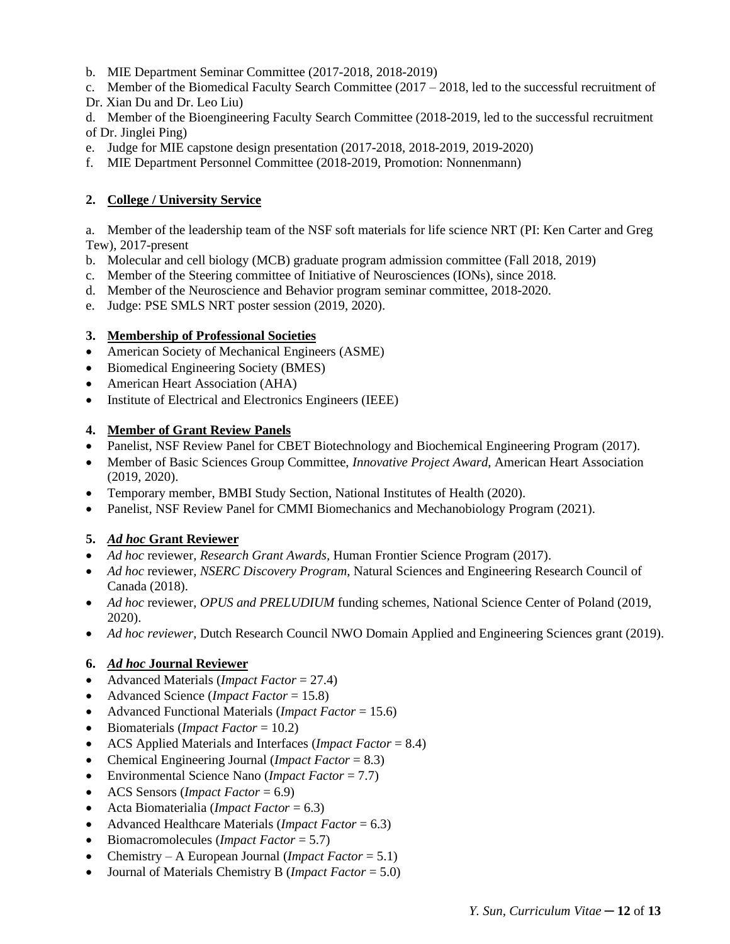- b. MIE Department Seminar Committee (2017-2018, 2018-2019)
- c. Member of the Biomedical Faculty Search Committee (2017 2018, led to the successful recruitment of
- Dr. Xian Du and Dr. Leo Liu)
- d. Member of the Bioengineering Faculty Search Committee (2018-2019, led to the successful recruitment of Dr. Jinglei Ping)
- e. Judge for MIE capstone design presentation (2017-2018, 2018-2019, 2019-2020)
- f. MIE Department Personnel Committee (2018-2019, Promotion: Nonnenmann)

# **2. College / University Service**

a. Member of the leadership team of the NSF soft materials for life science NRT (PI: Ken Carter and Greg Tew), 2017-present

- b. Molecular and cell biology (MCB) graduate program admission committee (Fall 2018, 2019)
- c. Member of the Steering committee of Initiative of Neurosciences (IONs), since 2018.
- d. Member of the Neuroscience and Behavior program seminar committee, 2018-2020.
- e. Judge: PSE SMLS NRT poster session (2019, 2020).

### **3. Membership of Professional Societies**

- American Society of Mechanical Engineers (ASME)
- Biomedical Engineering Society (BMES)
- American Heart Association (AHA)
- Institute of Electrical and Electronics Engineers (IEEE)

### **4. Member of Grant Review Panels**

- Panelist, NSF Review Panel for CBET Biotechnology and Biochemical Engineering Program (2017).
- Member of Basic Sciences Group Committee, *Innovative Project Award*, American Heart Association (2019, 2020).
- Temporary member, BMBI Study Section, National Institutes of Health (2020).
- Panelist, NSF Review Panel for CMMI Biomechanics and Mechanobiology Program (2021).

# **5.** *Ad hoc* **Grant Reviewer**

- *Ad hoc* reviewer*, Research Grant Awards,* Human Frontier Science Program (2017).
- *Ad hoc reviewer, NSERC Discovery Program*, Natural Sciences and Engineering Research Council of Canada (2018).
- *Ad hoc* reviewer, *OPUS and PRELUDIUM* funding schemes, National Science Center of Poland (2019, 2020).
- *Ad hoc reviewer*, Dutch Research Council NWO Domain Applied and Engineering Sciences grant (2019).

# **6.** *Ad hoc* **Journal Reviewer**

- Advanced Materials (*Impact Factor* = 27.4)
- Advanced Science (*Impact Factor* = 15.8)
- Advanced Functional Materials (*Impact Factor* = 15.6)
- Biomaterials (*Impact Factor* = 10.2)
- ACS Applied Materials and Interfaces (*Impact Factor* = 8.4)
- Chemical Engineering Journal (*Impact Factor* = 8.3)
- Environmental Science Nano (*Impact Factor* = 7.7)
- ACS Sensors (*Impact Factor* = 6.9)
- Acta Biomaterialia (*Impact Factor* = 6.3)
- Advanced Healthcare Materials (*Impact Factor* = 6.3)
- Biomacromolecules (*Impact Factor* = 5.7)
- Chemistry A European Journal (*Impact Factor* = 5.1)
- Journal of Materials Chemistry B (*Impact Factor* = 5.0)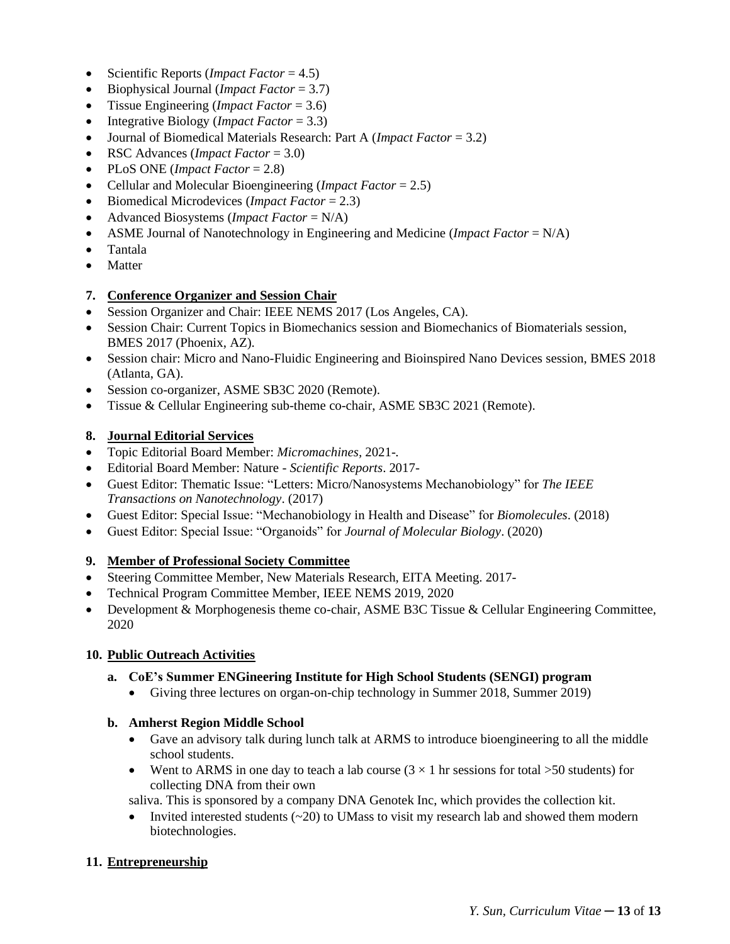- Scientific Reports (*Impact Factor* = 4.5)
- Biophysical Journal (*Impact Factor* = 3.7)
- Tissue Engineering (*Impact Factor* = 3.6)
- Integrative Biology (*Impact Factor* = 3.3)
- Journal of Biomedical Materials Research: Part A (*Impact Factor* = 3.2)
- RSC Advances (*Impact Factor* = 3.0)
- PLoS ONE (*Impact Factor* = 2.8)
- Cellular and Molecular Bioengineering (*Impact Factor* = 2.5)
- Biomedical Microdevices (*Impact Factor* = 2.3)
- Advanced Biosystems (*Impact Factor* = N/A)
- ASME Journal of Nanotechnology in Engineering and Medicine (*Impact Factor* = N/A)
- Tantala
- Matter

#### **7. Conference Organizer and Session Chair**

- Session Organizer and Chair: IEEE NEMS 2017 (Los Angeles, CA).
- Session Chair: Current Topics in Biomechanics session and Biomechanics of Biomaterials session, BMES 2017 (Phoenix, AZ).
- Session chair: Micro and Nano-Fluidic Engineering and Bioinspired Nano Devices session, BMES 2018 (Atlanta, GA).
- Session co-organizer, ASME SB3C 2020 (Remote).
- Tissue & Cellular Engineering sub-theme co-chair, ASME SB3C 2021 (Remote).

### **8. Journal Editorial Services**

- Topic Editorial Board Member: *Micromachines,* 2021-*.*
- Editorial Board Member: Nature *Scientific Reports*. 2017-
- Guest Editor: Thematic Issue: "Letters: Micro/Nanosystems Mechanobiology" for *The IEEE Transactions on Nanotechnology*. (2017)
- Guest Editor: Special Issue: "Mechanobiology in Health and Disease" for *Biomolecules*. (2018)
- Guest Editor: Special Issue: "Organoids" for *Journal of Molecular Biology*. (2020)

#### **9. Member of Professional Society Committee**

- Steering Committee Member, New Materials Research, EITA Meeting. 2017-
- Technical Program Committee Member, IEEE NEMS 2019, 2020
- Development & Morphogenesis theme co-chair, ASME B3C Tissue & Cellular Engineering Committee, 2020

#### **10. Public Outreach Activities**

#### **a. CoE's Summer ENGineering Institute for High School Students (SENGI) program**

• Giving three lectures on organ-on-chip technology in Summer 2018, Summer 2019)

#### **b. Amherst Region Middle School**

- Gave an advisory talk during lunch talk at ARMS to introduce bioengineering to all the middle school students.
- Went to ARMS in one day to teach a lab course  $(3 \times 1)$  hr sessions for total  $>50$  students) for collecting DNA from their own

saliva. This is sponsored by a company DNA Genotek Inc, which provides the collection kit.

Invited interested students  $(\sim 20)$  to UMass to visit my research lab and showed them modern biotechnologies.

#### **11. Entrepreneurship**